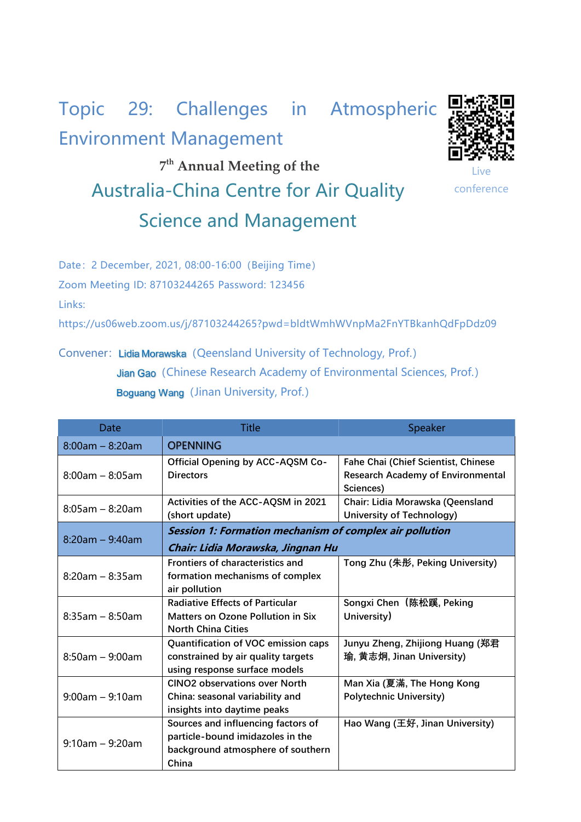## Topic 29: Challenges in Atmospheric Environment Management



**7 th Annual Meeting of the** Australia-China Centre for Air Quality Science and Management

Live **Live Allen Street Allen Street Allen** conference

Date: 2 December, 2021, 08:00-16:00 (Beijing Time) Zoom Meeting ID: 87103244265 Password: 123456 Links:

https://us06web.zoom.us/j/87103244265?pwd=bldtWmhWVnpMa2FnYTBkanhQdFpDdz09

Convener: Lidia Morawska (Qeensland University of Technology, Prof.) Jian Gao (Chinese Research Academy of Environmental Sciences, Prof.) Boguang Wang (Jinan University, Prof.)

| Date                  | <b>Title</b>                                                                                                         | <b>Speaker</b>                                                                                      |  |
|-----------------------|----------------------------------------------------------------------------------------------------------------------|-----------------------------------------------------------------------------------------------------|--|
| $8:00am - 8:20am$     | <b>OPENNING</b>                                                                                                      |                                                                                                     |  |
| $8:00$ am – $8:05$ am | Official Opening by ACC-AQSM Co-<br><b>Directors</b>                                                                 | <b>Fahe Chai (Chief Scientist, Chinese</b><br><b>Research Academy of Environmental</b><br>Sciences) |  |
| $8:05$ am - $8:20$ am | Activities of the ACC-AQSM in 2021<br>(short update)                                                                 | Chair: Lidia Morawska (Qeensland<br>University of Technology)                                       |  |
| $8:20am - 9:40am$     | Session 1: Formation mechanism of complex air pollution<br>Chair: Lidia Morawska, Jingnan Hu                         |                                                                                                     |  |
| $8:20$ am – $8:35$ am | <b>Frontiers of characteristics and</b><br>formation mechanisms of complex<br>air pollution                          | Tong Zhu (朱彤, Peking University)                                                                    |  |
| $8:35$ am - $8:50$ am | <b>Radiative Effects of Particular</b><br><b>Matters on Ozone Pollution in Six</b><br><b>North China Cities</b>      | Songxi Chen (陈松蹊, Peking<br>University)                                                             |  |
| $8:50$ am - 9:00am    | Quantification of VOC emission caps<br>constrained by air quality targets<br>using response surface models           | Junyu Zheng, Zhijiong Huang (郑君<br>瑜, 黄志炯, Jinan University)                                        |  |
| $9:00$ am - $9:10$ am | <b>CINO2 observations over North</b><br>China: seasonal variability and<br>insights into daytime peaks               | Man Xia (夏滿, The Hong Kong<br><b>Polytechnic University)</b>                                        |  |
| $9:10am - 9:20am$     | Sources and influencing factors of<br>particle-bound imidazoles in the<br>background atmosphere of southern<br>China | Hao Wang (王好, Jinan University)                                                                     |  |